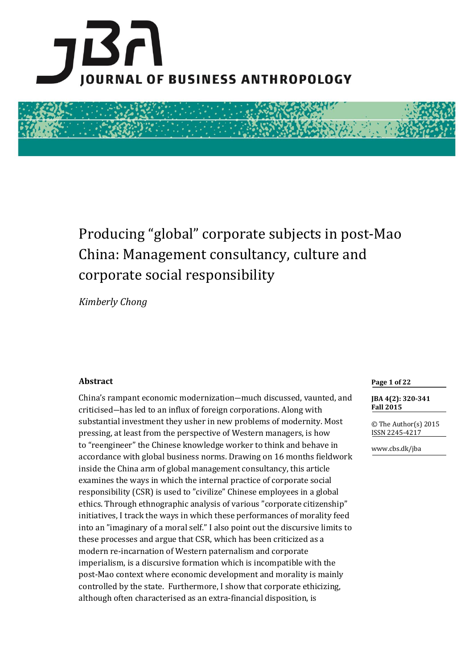



# Producing "global" corporate subjects in post-Mao China: Management consultancy, culture and corporate social responsibility

*Kimberly Chong*

# **Abstract**

China's rampant economic modernization―much discussed, vaunted, and criticised―has led to an influx of foreign corporations. Along with substantial investment they usher in new problems of modernity. Most pressing, at least from the perspective of Western managers, is how to "reengineer" the Chinese knowledge worker to think and behave in accordance with global business norms. Drawing on 16 months fieldwork inside the China arm of global management consultancy, this article examines the ways in which the internal practice of corporate social responsibility (CSR) is used to "civilize" Chinese employees in a global ethics. Through ethnographic analysis of various "corporate citizenship" initiatives, I track the ways in which these performances of morality feed into an "imaginary of a moral self." I also point out the discursive limits to these processes and argue that CSR, which has been criticized as a modern re-incarnation of Western paternalism and corporate imperialism, is a discursive formation which is incompatible with the post-Mao context where economic development and morality is mainly controlled by the state. Furthermore, I show that corporate ethicizing, although often characterised as an extra-financial disposition, is

**Page 1 of 22**

**JBA 4(2): 320-341 Fall 2015**

© The Author(s) 2015 ISSN 2245-4217

www.cbs.dk/jba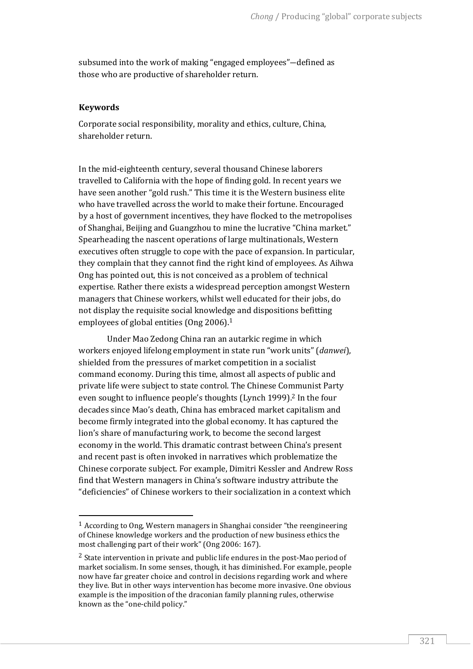subsumed into the work of making "engaged employees"―defined as those who are productive of shareholder return.

#### **Keywords**

 $\overline{a}$ 

Corporate social responsibility, morality and ethics, culture, China, shareholder return.

In the mid-eighteenth century, several thousand Chinese laborers travelled to California with the hope of finding gold. In recent years we have seen another "gold rush." This time it is the Western business elite who have travelled across the world to make their fortune. Encouraged by a host of government incentives, they have flocked to the metropolises of Shanghai, Beijing and Guangzhou to mine the lucrative "China market." Spearheading the nascent operations of large multinationals, Western executives often struggle to cope with the pace of expansion. In particular, they complain that they cannot find the right kind of employees. As Aihwa Ong has pointed out, this is not conceived as a problem of technical expertise. Rather there exists a widespread perception amongst Western managers that Chinese workers, whilst well educated for their jobs, do not display the requisite social knowledge and dispositions befitting employees of global entities (Ong 2006).<sup>1</sup>

Under Mao Zedong China ran an autarkic regime in which workers enjoyed lifelong employment in state run "work units" (*danwei*), shielded from the pressures of market competition in a socialist command economy. During this time, almost all aspects of public and private life were subject to state control. The Chinese Communist Party even sought to influence people's thoughts (Lynch 1999).<sup>2</sup> In the four decades since Mao's death, China has embraced market capitalism and become firmly integrated into the global economy. It has captured the lion's share of manufacturing work, to become the second largest economy in the world. This dramatic contrast between China's present and recent past is often invoked in narratives which problematize the Chinese corporate subject. For example, Dimitri Kessler and Andrew Ross find that Western managers in China's software industry attribute the "deficiencies" of Chinese workers to their socialization in a context which

<sup>1</sup> According to Ong, Western managers in Shanghai consider "the reengineering of Chinese knowledge workers and the production of new business ethics the most challenging part of their work" (Ong 2006: 167).

<sup>2</sup> State intervention in private and public life endures in the post-Mao period of market socialism. In some senses, though, it has diminished. For example, people now have far greater choice and control in decisions regarding work and where they live. But in other ways intervention has become more invasive. One obvious example is the imposition of the draconian family planning rules, otherwise known as the "one-child policy."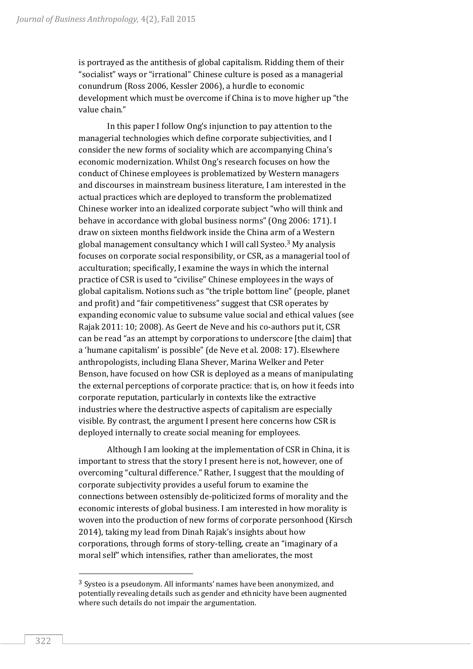is portrayed as the antithesis of global capitalism. Ridding them of their "socialist" ways or "irrational" Chinese culture is posed as a managerial conundrum (Ross 2006, Kessler 2006), a hurdle to economic development which must be overcome if China is to move higher up "the value chain."

In this paper I follow Ong's injunction to pay attention to the managerial technologies which define corporate subjectivities, and I consider the new forms of sociality which are accompanying China's economic modernization. Whilst Ong's research focuses on how the conduct of Chinese employees is problematized by Western managers and discourses in mainstream business literature, I am interested in the actual practices which are deployed to transform the problematized Chinese worker into an idealized corporate subject "who will think and behave in accordance with global business norms" (Ong 2006: 171). I draw on sixteen months fieldwork inside the China arm of a Western global management consultancy which I will call Systeo.<sup>3</sup> My analysis focuses on corporate social responsibility, or CSR, as a managerial tool of acculturation; specifically, I examine the ways in which the internal practice of CSR is used to "civilise" Chinese employees in the ways of global capitalism. Notions such as "the triple bottom line" (people, planet and profit) and "fair competitiveness" suggest that CSR operates by expanding economic value to subsume value social and ethical values (see Rajak 2011: 10; 2008). As Geert de Neve and his co-authors put it, CSR can be read "as an attempt by corporations to underscore [the claim] that a 'humane capitalism' is possible" (de Neve et al. 2008: 17). Elsewhere anthropologists, including Elana Shever, Marina Welker and Peter Benson, have focused on how CSR is deployed as a means of manipulating the external perceptions of corporate practice: that is, on how it feeds into corporate reputation, particularly in contexts like the extractive industries where the destructive aspects of capitalism are especially visible. By contrast, the argument I present here concerns how CSR is deployed internally to create social meaning for employees.

Although I am looking at the implementation of CSR in China, it is important to stress that the story I present here is not, however, one of overcoming "cultural difference." Rather, I suggest that the moulding of corporate subjectivity provides a useful forum to examine the connections between ostensibly de-politicized forms of morality and the economic interests of global business. I am interested in how morality is woven into the production of new forms of corporate personhood (Kirsch 2014), taking my lead from Dinah Rajak's insights about how corporations, through forms of story-telling, create an "imaginary of a moral self" which intensifies, rather than ameliorates, the most

<sup>3</sup> Systeo is a pseudonym. All informants' names have been anonymized, and potentially revealing details such as gender and ethnicity have been augmented where such details do not impair the argumentation.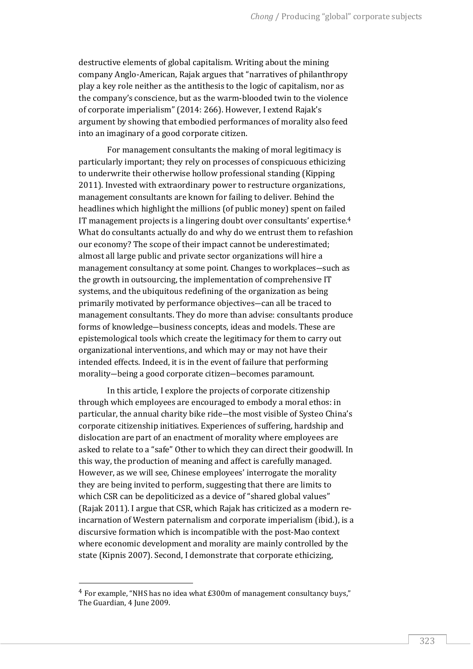destructive elements of global capitalism. Writing about the mining company Anglo-American, Rajak argues that "narratives of philanthropy play a key role neither as the antithesis to the logic of capitalism, nor as the company's conscience, but as the warm-blooded twin to the violence of corporate imperialism" (2014: 266). However, I extend Rajak's argument by showing that embodied performances of morality also feed into an imaginary of a good corporate citizen.

For management consultants the making of moral legitimacy is particularly important; they rely on processes of conspicuous ethicizing to underwrite their otherwise hollow professional standing (Kipping 2011). Invested with extraordinary power to restructure organizations, management consultants are known for failing to deliver. Behind the headlines which highlight the millions (of public money) spent on failed IT management projects is a lingering doubt over consultants' expertise.<sup>4</sup> What do consultants actually do and why do we entrust them to refashion our economy? The scope of their impact cannot be underestimated; almost all large public and private sector organizations will hire a management consultancy at some point. Changes to workplaces―such as the growth in outsourcing, the implementation of comprehensive IT systems, and the ubiquitous redefining of the organization as being primarily motivated by performance objectives―can all be traced to management consultants. They do more than advise: consultants produce forms of knowledge―business concepts, ideas and models. These are epistemological tools which create the legitimacy for them to carry out organizational interventions, and which may or may not have their intended effects. Indeed, it is in the event of failure that performing morality―being a good corporate citizen―becomes paramount.

In this article, I explore the projects of corporate citizenship through which employees are encouraged to embody a moral ethos: in particular, the annual charity bike ride―the most visible of Systeo China's corporate citizenship initiatives. Experiences of suffering, hardship and dislocation are part of an enactment of morality where employees are asked to relate to a "safe" Other to which they can direct their goodwill. In this way, the production of meaning and affect is carefully managed. However, as we will see, Chinese employees' interrogate the morality they are being invited to perform, suggesting that there are limits to which CSR can be depoliticized as a device of "shared global values" (Rajak 2011). I argue that CSR, which Rajak has criticized as a modern reincarnation of Western paternalism and corporate imperialism (ibid.), is a discursive formation which is incompatible with the post-Mao context where economic development and morality are mainly controlled by the state (Kipnis 2007). Second, I demonstrate that corporate ethicizing,

<sup>4</sup> For example, "NHS has no idea what £300m of management consultancy buys," The Guardian, 4 June 2009.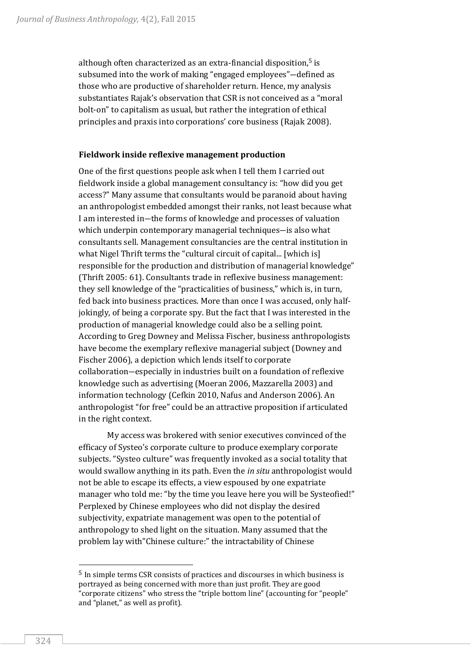although often characterized as an extra-financial disposition,<sup>5</sup> is subsumed into the work of making "engaged employees"―defined as those who are productive of shareholder return. Hence, my analysis substantiates Rajak's observation that CSR is not conceived as a "moral bolt-on" to capitalism as usual, but rather the integration of ethical principles and praxis into corporations' core business (Rajak 2008).

#### **Fieldwork inside reflexive management production**

One of the first questions people ask when I tell them I carried out fieldwork inside a global management consultancy is: "how did you get access?" Many assume that consultants would be paranoid about having an anthropologist embedded amongst their ranks, not least because what I am interested in―the forms of knowledge and processes of valuation which underpin contemporary managerial techniques-is also what consultants sell. Management consultancies are the central institution in what Nigel Thrift terms the "cultural circuit of capital... [which is] responsible for the production and distribution of managerial knowledge" (Thrift 2005: 61). Consultants trade in reflexive business management: they sell knowledge of the "practicalities of business," which is, in turn, fed back into business practices. More than once I was accused, only halfjokingly, of being a corporate spy. But the fact that I was interested in the production of managerial knowledge could also be a selling point. According to Greg Downey and Melissa Fischer, business anthropologists have become the exemplary reflexive managerial subject (Downey and Fischer 2006), a depiction which lends itself to corporate collaboration―especially in industries built on a foundation of reflexive knowledge such as advertising (Moeran 2006, Mazzarella 2003) and information technology (Cefkin 2010, Nafus and Anderson 2006). An anthropologist "for free" could be an attractive proposition if articulated in the right context.

My access was brokered with senior executives convinced of the efficacy of Systeo's corporate culture to produce exemplary corporate subjects. "Systeo culture" was frequently invoked as a social totality that would swallow anything in its path. Even the *in situ* anthropologist would not be able to escape its effects, a view espoused by one expatriate manager who told me: "by the time you leave here you will be Systeofied!" Perplexed by Chinese employees who did not display the desired subjectivity, expatriate management was open to the potential of anthropology to shed light on the situation. Many assumed that the problem lay with"Chinese culture:" the intractability of Chinese

<sup>5</sup> In simple terms CSR consists of practices and discourses in which business is portrayed as being concerned with more than just profit. They are good "corporate citizens" who stress the "triple bottom line" (accounting for "people" and "planet," as well as profit).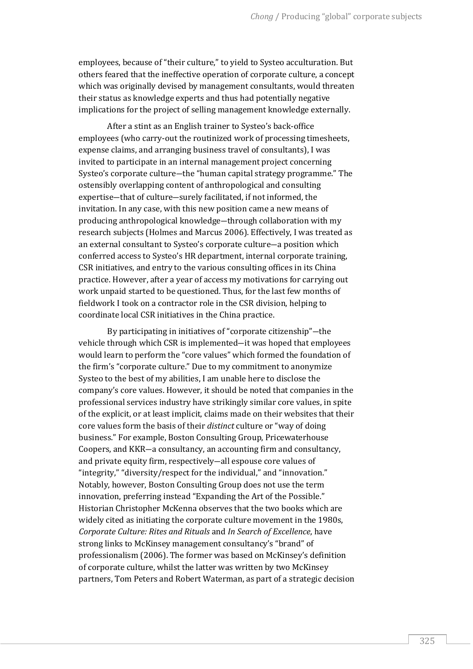employees, because of "their culture," to yield to Systeo acculturation. But others feared that the ineffective operation of corporate culture, a concept which was originally devised by management consultants, would threaten their status as knowledge experts and thus had potentially negative implications for the project of selling management knowledge externally.

After a stint as an English trainer to Systeo's back-office employees (who carry-out the routinized work of processing timesheets, expense claims, and arranging business travel of consultants), I was invited to participate in an internal management project concerning Systeo's corporate culture―the "human capital strategy programme." The ostensibly overlapping content of anthropological and consulting expertise―that of culture―surely facilitated, if not informed, the invitation. In any case, with this new position came a new means of producing anthropological knowledge―through collaboration with my research subjects (Holmes and Marcus 2006). Effectively, I was treated as an external consultant to Systeo's corporate culture―a position which conferred access to Systeo's HR department, internal corporate training, CSR initiatives, and entry to the various consulting offices in its China practice. However, after a year of access my motivations for carrying out work unpaid started to be questioned. Thus, for the last few months of fieldwork I took on a contractor role in the CSR division, helping to coordinate local CSR initiatives in the China practice.

By participating in initiatives of "corporate citizenship"―the vehicle through which CSR is implemented―it was hoped that employees would learn to perform the "core values" which formed the foundation of the firm's "corporate culture." Due to my commitment to anonymize Systeo to the best of my abilities, I am unable here to disclose the company's core values. However, it should be noted that companies in the professional services industry have strikingly similar core values, in spite of the explicit, or at least implicit, claims made on their websites that their core values form the basis of their *distinct* culture or "way of doing business." For example, Boston Consulting Group, Pricewaterhouse Coopers, and KKR―a consultancy, an accounting firm and consultancy, and private equity firm, respectively―all espouse core values of "integrity," "diversity/respect for the individual," and "innovation." Notably, however, Boston Consulting Group does not use the term innovation, preferring instead "Expanding the Art of the Possible." Historian Christopher McKenna observes that the two books which are widely cited as initiating the corporate culture movement in the 1980s, *Corporate Culture: Rites and Rituals* and *In Search of Excellence*, have strong links to McKinsey management consultancy's "brand" of professionalism (2006). The former was based on McKinsey's definition of corporate culture, whilst the latter was written by two McKinsey partners, Tom Peters and Robert Waterman, as part of a strategic decision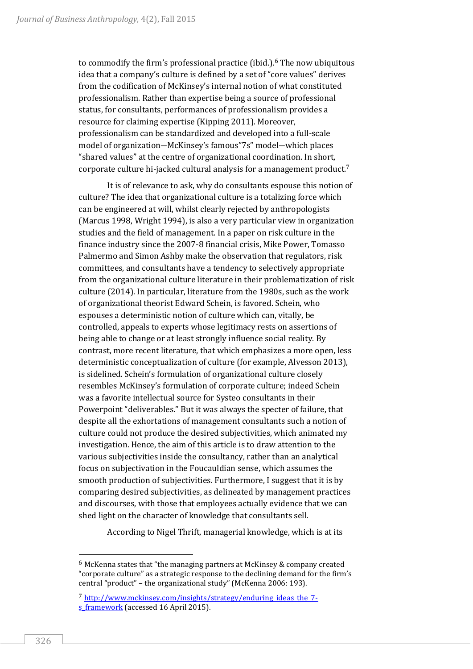to commodify the firm's professional practice (ibid.).<sup>6</sup> The now ubiquitous idea that a company's culture is defined by a set of "core values" derives from the codification of McKinsey's internal notion of what constituted professionalism. Rather than expertise being a source of professional status, for consultants, performances of professionalism provides a resource for claiming expertise (Kipping 2011). Moreover, professionalism can be standardized and developed into a full-scale model of organization―McKinsey's famous"7s" model―which places "shared values" at the centre of organizational coordination. In short, corporate culture hi-jacked cultural analysis for a management product.<sup>7</sup>

It is of relevance to ask, why do consultants espouse this notion of culture? The idea that organizational culture is a totalizing force which can be engineered at will, whilst clearly rejected by anthropologists (Marcus 1998, Wright 1994), is also a very particular view in organization studies and the field of management. In a paper on risk culture in the finance industry since the 2007-8 financial crisis, Mike Power, Tomasso Palmermo and Simon Ashby make the observation that regulators, risk committees, and consultants have a tendency to selectively appropriate from the organizational culture literature in their problematization of risk culture (2014). In particular, literature from the 1980s, such as the work of organizational theorist Edward Schein, is favored. Schein, who espouses a deterministic notion of culture which can, vitally, be controlled, appeals to experts whose legitimacy rests on assertions of being able to change or at least strongly influence social reality. By contrast, more recent literature, that which emphasizes a more open, less deterministic conceptualization of culture (for example, Alvesson 2013), is sidelined. Schein's formulation of organizational culture closely resembles McKinsey's formulation of corporate culture; indeed Schein was a favorite intellectual source for Systeo consultants in their Powerpoint "deliverables." But it was always the specter of failure, that despite all the exhortations of management consultants such a notion of culture could not produce the desired subjectivities, which animated my investigation. Hence, the aim of this article is to draw attention to the various subjectivities inside the consultancy, rather than an analytical focus on subjectivation in the Foucauldian sense, which assumes the smooth production of subjectivities. Furthermore, I suggest that it is by comparing desired subjectivities, as delineated by management practices and discourses, with those that employees actually evidence that we can shed light on the character of knowledge that consultants sell.

According to Nigel Thrift, managerial knowledge, which is at its

l

<sup>6</sup> McKenna states that "the managing partners at McKinsey & company created "corporate culture" as a strategic response to the declining demand for the firm's central "product" – the organizational study" (McKenna 2006: 193).

<sup>7</sup> [http://www.mckinsey.com/insights/strategy/enduring\\_ideas\\_the\\_7](http://www.mckinsey.com/insights/strategy/enduring_ideas_the_7-s_framework) s framework (accessed 16 April 2015).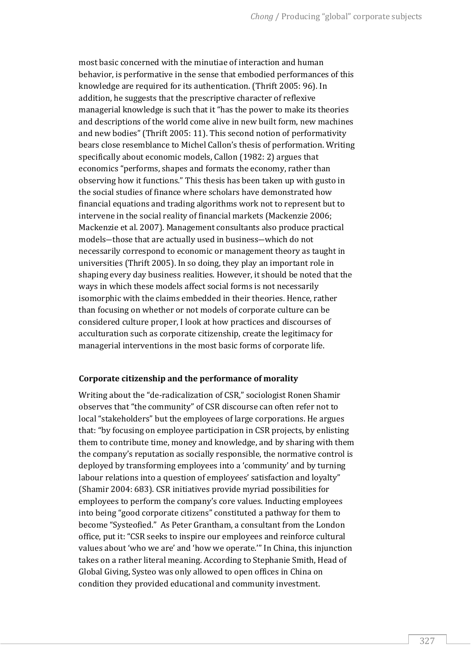most basic concerned with the minutiae of interaction and human behavior, is performative in the sense that embodied performances of this knowledge are required for its authentication. (Thrift 2005: 96). In addition, he suggests that the prescriptive character of reflexive managerial knowledge is such that it "has the power to make its theories and descriptions of the world come alive in new built form, new machines and new bodies" (Thrift 2005: 11). This second notion of performativity bears close resemblance to Michel Callon's thesis of performation. Writing specifically about economic models, Callon (1982: 2) argues that economics "performs, shapes and formats the economy, rather than observing how it functions." This thesis has been taken up with gusto in the social studies of finance where scholars have demonstrated how financial equations and trading algorithms work not to represent but to intervene in the social reality of financial markets (Mackenzie 2006; Mackenzie et al. 2007). Management consultants also produce practical models―those that are actually used in business―which do not necessarily correspond to economic or management theory as taught in universities (Thrift 2005). In so doing, they play an important role in shaping every day business realities. However, it should be noted that the ways in which these models affect social forms is not necessarily isomorphic with the claims embedded in their theories. Hence, rather than focusing on whether or not models of corporate culture can be considered culture proper, I look at how practices and discourses of acculturation such as corporate citizenship, create the legitimacy for managerial interventions in the most basic forms of corporate life.

# **Corporate citizenship and the performance of morality**

Writing about the "de-radicalization of CSR," sociologist Ronen Shamir observes that "the community" of CSR discourse can often refer not to local "stakeholders" but the employees of large corporations. He argues that: "by focusing on employee participation in CSR projects, by enlisting them to contribute time, money and knowledge, and by sharing with them the company's reputation as socially responsible, the normative control is deployed by transforming employees into a 'community' and by turning labour relations into a question of employees' satisfaction and loyalty" (Shamir 2004: 683). CSR initiatives provide myriad possibilities for employees to perform the company's core values. Inducting employees into being "good corporate citizens" constituted a pathway for them to become "Systeofied." As Peter Grantham, a consultant from the London office, put it: "CSR seeks to inspire our employees and reinforce cultural values about 'who we are' and 'how we operate.'" In China, this injunction takes on a rather literal meaning. According to Stephanie Smith, Head of Global Giving, Systeo was only allowed to open offices in China on condition they provided educational and community investment.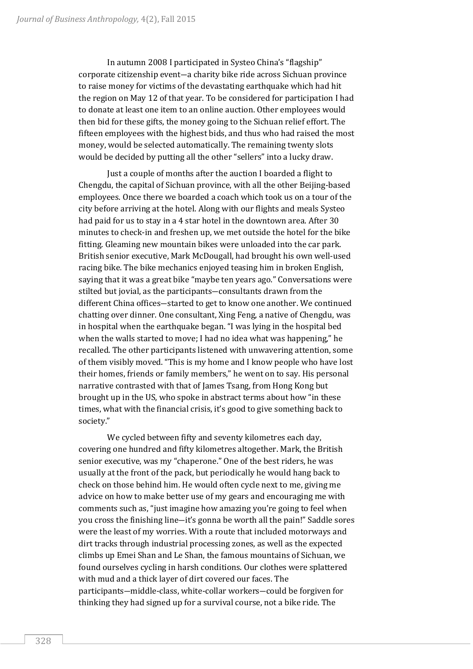In autumn 2008 I participated in Systeo China's "flagship" corporate citizenship event―a charity bike ride across Sichuan province to raise money for victims of the devastating earthquake which had hit the region on May 12 of that year. To be considered for participation I had to donate at least one item to an online auction. Other employees would then bid for these gifts, the money going to the Sichuan relief effort. The fifteen employees with the highest bids, and thus who had raised the most money, would be selected automatically. The remaining twenty slots would be decided by putting all the other "sellers" into a lucky draw.

Just a couple of months after the auction I boarded a flight to Chengdu, the capital of Sichuan province, with all the other Beijing-based employees. Once there we boarded a coach which took us on a tour of the city before arriving at the hotel. Along with our flights and meals Systeo had paid for us to stay in a 4 star hotel in the downtown area. After 30 minutes to check-in and freshen up, we met outside the hotel for the bike fitting. Gleaming new mountain bikes were unloaded into the car park. British senior executive, Mark McDougall, had brought his own well-used racing bike. The bike mechanics enjoyed teasing him in broken English, saying that it was a great bike "maybe ten years ago." Conversations were stilted but jovial, as the participants―consultants drawn from the different China offices―started to get to know one another. We continued chatting over dinner. One consultant, Xing Feng, a native of Chengdu, was in hospital when the earthquake began. "I was lying in the hospital bed when the walls started to move; I had no idea what was happening," he recalled. The other participants listened with unwavering attention, some of them visibly moved. "This is my home and I know people who have lost their homes, friends or family members," he went on to say. His personal narrative contrasted with that of James Tsang, from Hong Kong but brought up in the US, who spoke in abstract terms about how "in these times, what with the financial crisis, it's good to give something back to society."

We cycled between fifty and seventy kilometres each day, covering one hundred and fifty kilometres altogether. Mark, the British senior executive, was my "chaperone." One of the best riders, he was usually at the front of the pack, but periodically he would hang back to check on those behind him. He would often cycle next to me, giving me advice on how to make better use of my gears and encouraging me with comments such as, "just imagine how amazing you're going to feel when you cross the finishing line―it's gonna be worth all the pain!" Saddle sores were the least of my worries. With a route that included motorways and dirt tracks through industrial processing zones, as well as the expected climbs up Emei Shan and Le Shan, the famous mountains of Sichuan, we found ourselves cycling in harsh conditions. Our clothes were splattered with mud and a thick layer of dirt covered our faces. The participants―middle-class, white-collar workers―could be forgiven for thinking they had signed up for a survival course, not a bike ride. The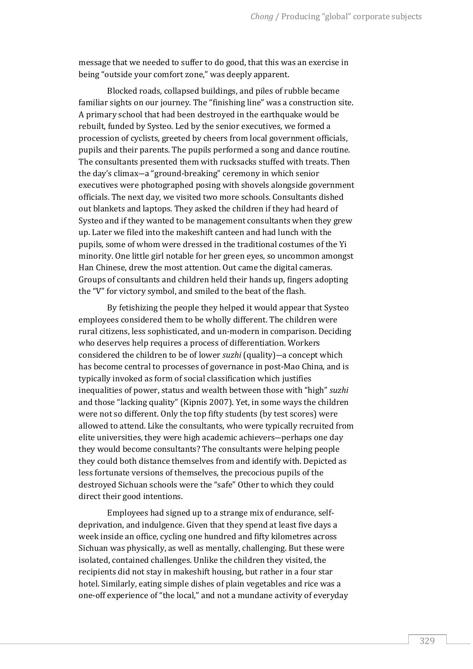message that we needed to suffer to do good, that this was an exercise in being "outside your comfort zone," was deeply apparent.

Blocked roads, collapsed buildings, and piles of rubble became familiar sights on our journey. The "finishing line" was a construction site. A primary school that had been destroyed in the earthquake would be rebuilt, funded by Systeo. Led by the senior executives, we formed a procession of cyclists, greeted by cheers from local government officials, pupils and their parents. The pupils performed a song and dance routine. The consultants presented them with rucksacks stuffed with treats. Then the day's climax―a "ground-breaking" ceremony in which senior executives were photographed posing with shovels alongside government officials. The next day, we visited two more schools. Consultants dished out blankets and laptops. They asked the children if they had heard of Systeo and if they wanted to be management consultants when they grew up. Later we filed into the makeshift canteen and had lunch with the pupils, some of whom were dressed in the traditional costumes of the Yi minority. One little girl notable for her green eyes, so uncommon amongst Han Chinese, drew the most attention. Out came the digital cameras. Groups of consultants and children held their hands up, fingers adopting the "V" for victory symbol, and smiled to the beat of the flash.

By fetishizing the people they helped it would appear that Systeo employees considered them to be wholly different. The children were rural citizens, less sophisticated, and un-modern in comparison. Deciding who deserves help requires a process of differentiation. Workers considered the children to be of lower *suzhi* (quality)―a concept which has become central to processes of governance in post-Mao China, and is typically invoked as form of social classification which justifies inequalities of power, status and wealth between those with "high" *suzhi* and those "lacking quality" (Kipnis 2007). Yet, in some ways the children were not so different. Only the top fifty students (by test scores) were allowed to attend. Like the consultants, who were typically recruited from elite universities, they were high academic achievers―perhaps one day they would become consultants? The consultants were helping people they could both distance themselves from and identify with. Depicted as less fortunate versions of themselves, the precocious pupils of the destroyed Sichuan schools were the "safe" Other to which they could direct their good intentions.

Employees had signed up to a strange mix of endurance, selfdeprivation, and indulgence. Given that they spend at least five days a week inside an office, cycling one hundred and fifty kilometres across Sichuan was physically, as well as mentally, challenging. But these were isolated, contained challenges. Unlike the children they visited, the recipients did not stay in makeshift housing, but rather in a four star hotel. Similarly, eating simple dishes of plain vegetables and rice was a one-off experience of "the local," and not a mundane activity of everyday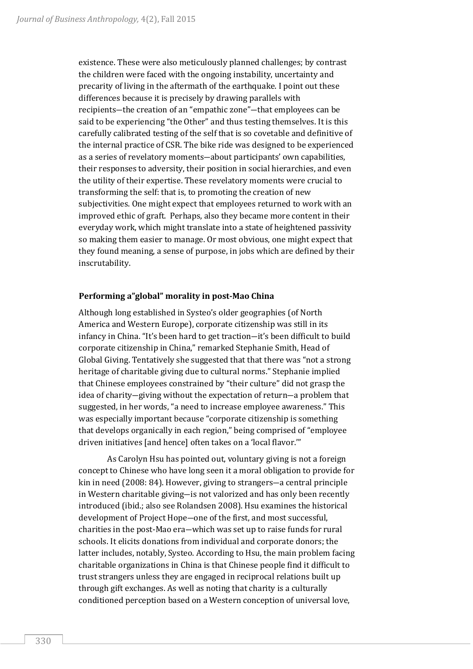existence. These were also meticulously planned challenges; by contrast the children were faced with the ongoing instability, uncertainty and precarity of living in the aftermath of the earthquake. I point out these differences because it is precisely by drawing parallels with recipients―the creation of an "empathic zone"―that employees can be said to be experiencing "the Other" and thus testing themselves. It is this carefully calibrated testing of the self that is so covetable and definitive of the internal practice of CSR. The bike ride was designed to be experienced as a series of revelatory moments―about participants' own capabilities, their responses to adversity, their position in social hierarchies, and even the utility of their expertise. These revelatory moments were crucial to transforming the self: that is, to promoting the creation of new subjectivities. One might expect that employees returned to work with an improved ethic of graft. Perhaps, also they became more content in their everyday work, which might translate into a state of heightened passivity so making them easier to manage. Or most obvious, one might expect that they found meaning, a sense of purpose, in jobs which are defined by their inscrutability.

### **Performing a"global" morality in post-Mao China**

Although long established in Systeo's older geographies (of North America and Western Europe), corporate citizenship was still in its infancy in China. "It's been hard to get traction―it's been difficult to build corporate citizenship in China," remarked Stephanie Smith, Head of Global Giving. Tentatively she suggested that that there was "not a strong heritage of charitable giving due to cultural norms." Stephanie implied that Chinese employees constrained by "their culture" did not grasp the idea of charity―giving without the expectation of return―a problem that suggested, in her words, "a need to increase employee awareness." This was especially important because "corporate citizenship is something that develops organically in each region," being comprised of "employee driven initiatives [and hence] often takes on a 'local flavor.'"

As Carolyn Hsu has pointed out, voluntary giving is not a foreign concept to Chinese who have long seen it a moral obligation to provide for kin in need (2008: 84). However, giving to strangers―a central principle in Western charitable giving―is not valorized and has only been recently introduced (ibid.; also see Rolandsen 2008). Hsu examines the historical development of Project Hope―one of the first, and most successful, charities in the post-Mao era―which was set up to raise funds for rural schools. It elicits donations from individual and corporate donors; the latter includes, notably, Systeo. According to Hsu, the main problem facing charitable organizations in China is that Chinese people find it difficult to trust strangers unless they are engaged in reciprocal relations built up through gift exchanges. As well as noting that charity is a culturally conditioned perception based on a Western conception of universal love,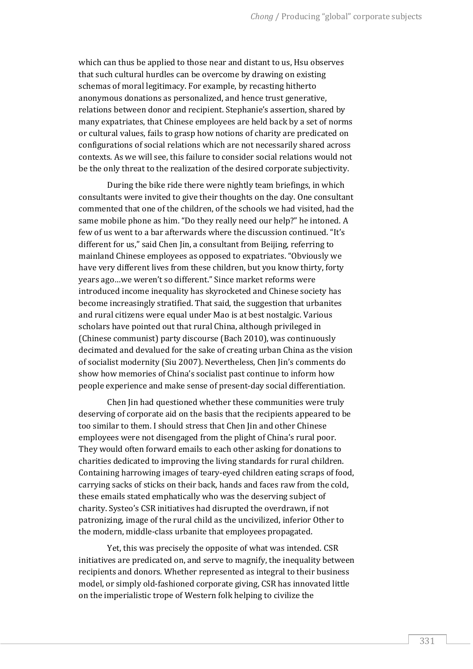which can thus be applied to those near and distant to us, Hsu observes that such cultural hurdles can be overcome by drawing on existing schemas of moral legitimacy. For example, by recasting hitherto anonymous donations as personalized, and hence trust generative, relations between donor and recipient. Stephanie's assertion, shared by many expatriates, that Chinese employees are held back by a set of norms or cultural values, fails to grasp how notions of charity are predicated on configurations of social relations which are not necessarily shared across contexts. As we will see, this failure to consider social relations would not be the only threat to the realization of the desired corporate subjectivity.

During the bike ride there were nightly team briefings, in which consultants were invited to give their thoughts on the day. One consultant commented that one of the children, of the schools we had visited, had the same mobile phone as him. "Do they really need our help?" he intoned. A few of us went to a bar afterwards where the discussion continued. "It's different for us," said Chen Jin, a consultant from Beijing, referring to mainland Chinese employees as opposed to expatriates. "Obviously we have very different lives from these children, but you know thirty, forty years ago…we weren't so different." Since market reforms were introduced income inequality has skyrocketed and Chinese society has become increasingly stratified. That said, the suggestion that urbanites and rural citizens were equal under Mao is at best nostalgic. Various scholars have pointed out that rural China, although privileged in (Chinese communist) party discourse (Bach 2010), was continuously decimated and devalued for the sake of creating urban China as the vision of socialist modernity (Siu 2007). Nevertheless, Chen Jin's comments do show how memories of China's socialist past continue to inform how people experience and make sense of present-day social differentiation.

Chen Jin had questioned whether these communities were truly deserving of corporate aid on the basis that the recipients appeared to be too similar to them. I should stress that Chen Jin and other Chinese employees were not disengaged from the plight of China's rural poor. They would often forward emails to each other asking for donations to charities dedicated to improving the living standards for rural children. Containing harrowing images of teary-eyed children eating scraps of food, carrying sacks of sticks on their back, hands and faces raw from the cold, these emails stated emphatically who was the deserving subject of charity. Systeo's CSR initiatives had disrupted the overdrawn, if not patronizing, image of the rural child as the uncivilized, inferior Other to the modern, middle-class urbanite that employees propagated.

Yet, this was precisely the opposite of what was intended. CSR initiatives are predicated on, and serve to magnify, the inequality between recipients and donors. Whether represented as integral to their business model, or simply old-fashioned corporate giving, CSR has innovated little on the imperialistic trope of Western folk helping to civilize the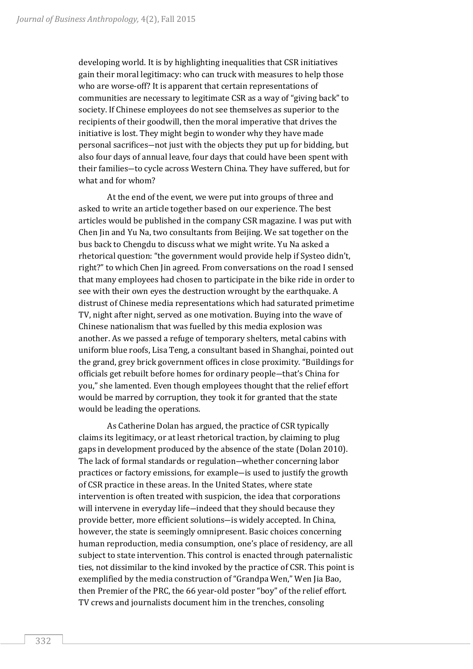developing world. It is by highlighting inequalities that CSR initiatives gain their moral legitimacy: who can truck with measures to help those who are worse-off? It is apparent that certain representations of communities are necessary to legitimate CSR as a way of "giving back" to society. If Chinese employees do not see themselves as superior to the recipients of their goodwill, then the moral imperative that drives the initiative is lost. They might begin to wonder why they have made personal sacrifices―not just with the objects they put up for bidding, but also four days of annual leave, four days that could have been spent with their families―to cycle across Western China. They have suffered, but for what and for whom?

At the end of the event, we were put into groups of three and asked to write an article together based on our experience. The best articles would be published in the company CSR magazine. I was put with Chen Jin and Yu Na, two consultants from Beijing. We sat together on the bus back to Chengdu to discuss what we might write. Yu Na asked a rhetorical question: "the government would provide help if Systeo didn't, right?" to which Chen Jin agreed. From conversations on the road I sensed that many employees had chosen to participate in the bike ride in order to see with their own eyes the destruction wrought by the earthquake. A distrust of Chinese media representations which had saturated primetime TV, night after night, served as one motivation. Buying into the wave of Chinese nationalism that was fuelled by this media explosion was another. As we passed a refuge of temporary shelters, metal cabins with uniform blue roofs, Lisa Teng, a consultant based in Shanghai, pointed out the grand, grey brick government offices in close proximity. "Buildings for officials get rebuilt before homes for ordinary people―that's China for you," she lamented. Even though employees thought that the relief effort would be marred by corruption, they took it for granted that the state would be leading the operations.

As Catherine Dolan has argued, the practice of CSR typically claims its legitimacy, or at least rhetorical traction, by claiming to plug gaps in development produced by the absence of the state (Dolan 2010). The lack of formal standards or regulation―whether concerning labor practices or factory emissions, for example―is used to justify the growth of CSR practice in these areas. In the United States, where state intervention is often treated with suspicion, the idea that corporations will intervene in everyday life-indeed that they should because they provide better, more efficient solutions―is widely accepted. In China, however, the state is seemingly omnipresent. Basic choices concerning human reproduction, media consumption, one's place of residency, are all subject to state intervention. This control is enacted through paternalistic ties, not dissimilar to the kind invoked by the practice of CSR. This point is exemplified by the media construction of "Grandpa Wen," Wen Jia Bao, then Premier of the PRC, the 66 year-old poster "boy" of the relief effort. TV crews and journalists document him in the trenches, consoling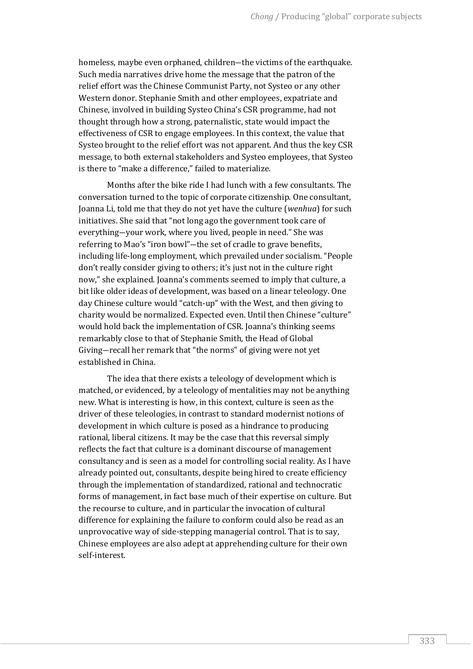homeless, maybe even orphaned, children―the victims of the earthquake. Such media narratives drive home the message that the patron of the relief effort was the Chinese Communist Party, not Systeo or any other Western donor. Stephanie Smith and other employees, expatriate and Chinese, involved in building Systeo China's CSR programme, had not thought through how a strong, paternalistic, state would impact the effectiveness of CSR to engage employees. In this context, the value that Systeo brought to the relief effort was not apparent. And thus the key CSR message, to both external stakeholders and Systeo employees, that Systeo is there to "make a difference," failed to materialize.

Months after the bike ride I had lunch with a few consultants. The conversation turned to the topic of corporate citizenship. One consultant, Joanna Li, told me that they do not yet have the culture (*wenhua*) for such initiatives. She said that "not long ago the government took care of everything―your work, where you lived, people in need." She was referring to Mao's "iron bowl"―the set of cradle to grave benefits, including life-long employment, which prevailed under socialism. "People don't really consider giving to others; it's just not in the culture right now," she explained. Joanna's comments seemed to imply that culture, a bit like older ideas of development, was based on a linear teleology. One day Chinese culture would "catch-up" with the West, and then giving to charity would be normalized. Expected even. Until then Chinese "culture" would hold back the implementation of CSR. Joanna's thinking seems remarkably close to that of Stephanie Smith, the Head of Global Giving―recall her remark that "the norms" of giving were not yet established in China.

The idea that there exists a teleology of development which is matched, or evidenced, by a teleology of mentalities may not be anything new. What is interesting is how, in this context, culture is seen as the driver of these teleologies, in contrast to standard modernist notions of development in which culture is posed as a hindrance to producing rational, liberal citizens. It may be the case that this reversal simply reflects the fact that culture is a dominant discourse of management consultancy and is seen as a model for controlling social reality. As I have already pointed out, consultants, despite being hired to create efficiency through the implementation of standardized, rational and technocratic forms of management, in fact base much of their expertise on culture. But the recourse to culture, and in particular the invocation of cultural difference for explaining the failure to conform could also be read as an unprovocative way of side-stepping managerial control. That is to say, Chinese employees are also adept at apprehending culture for their own self-interest.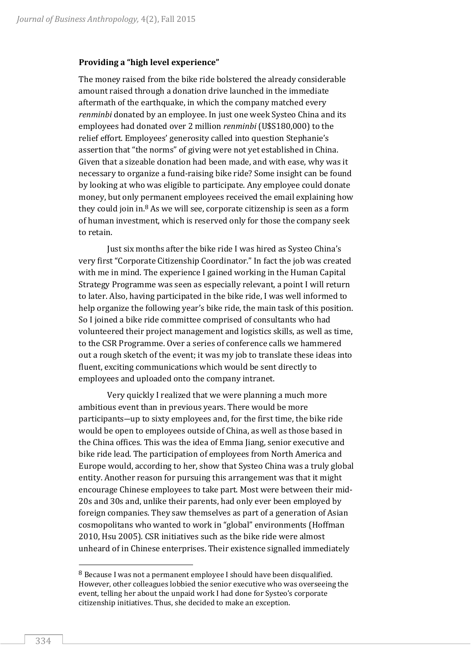#### **Providing a "high level experience"**

The money raised from the bike ride bolstered the already considerable amount raised through a donation drive launched in the immediate aftermath of the earthquake, in which the company matched every *renminbi* donated by an employee. In just one week Systeo China and its employees had donated over 2 million *renminbi* (U\$S180,000) to the relief effort. Employees' generosity called into question Stephanie's assertion that "the norms" of giving were not yet established in China. Given that a sizeable donation had been made, and with ease, why was it necessary to organize a fund-raising bike ride? Some insight can be found by looking at who was eligible to participate. Any employee could donate money, but only permanent employees received the email explaining how they could join in. $8$  As we will see, corporate citizenship is seen as a form of human investment, which is reserved only for those the company seek to retain.

Just six months after the bike ride I was hired as Systeo China's very first "Corporate Citizenship Coordinator." In fact the job was created with me in mind. The experience I gained working in the Human Capital Strategy Programme was seen as especially relevant, a point I will return to later. Also, having participated in the bike ride, I was well informed to help organize the following year's bike ride, the main task of this position. So I joined a bike ride committee comprised of consultants who had volunteered their project management and logistics skills, as well as time, to the CSR Programme. Over a series of conference calls we hammered out a rough sketch of the event; it was my job to translate these ideas into fluent, exciting communications which would be sent directly to employees and uploaded onto the company intranet.

Very quickly I realized that we were planning a much more ambitious event than in previous years. There would be more participants―up to sixty employees and, for the first time, the bike ride would be open to employees outside of China, as well as those based in the China offices. This was the idea of Emma Jiang, senior executive and bike ride lead. The participation of employees from North America and Europe would, according to her, show that Systeo China was a truly global entity. Another reason for pursuing this arrangement was that it might encourage Chinese employees to take part. Most were between their mid-20s and 30s and, unlike their parents, had only ever been employed by foreign companies. They saw themselves as part of a generation of Asian cosmopolitans who wanted to work in "global" environments (Hoffman 2010, Hsu 2005). CSR initiatives such as the bike ride were almost unheard of in Chinese enterprises. Their existence signalled immediately

<sup>8</sup> Because I was not a permanent employee I should have been disqualified. However, other colleagues lobbied the senior executive who was overseeing the event, telling her about the unpaid work I had done for Systeo's corporate citizenship initiatives. Thus, she decided to make an exception.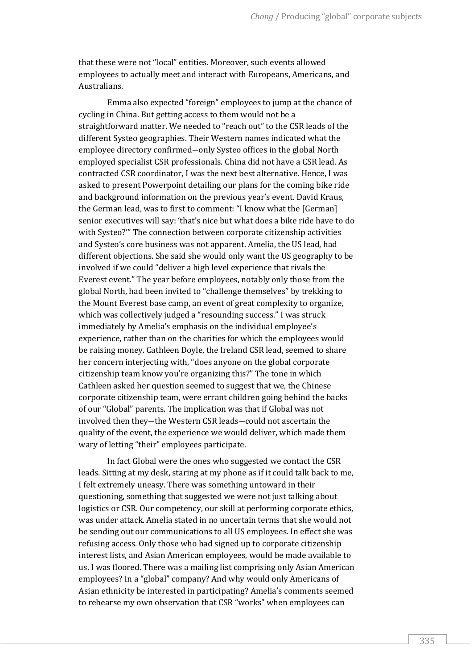that these were not "local" entities. Moreover, such events allowed employees to actually meet and interact with Europeans, Americans, and Australians.

Emma also expected "foreign" employees to jump at the chance of cycling in China. But getting access to them would not be a straightforward matter. We needed to "reach out" to the CSR leads of the different Systeo geographies. Their Western names indicated what the employee directory confirmed―only Systeo offices in the global North employed specialist CSR professionals. China did not have a CSR lead. As contracted CSR coordinator, I was the next best alternative. Hence, I was asked to present Powerpoint detailing our plans for the coming bike ride and background information on the previous year's event. David Kraus, the German lead, was to first to comment: "I know what the [German] senior executives will say: 'that's nice but what does a bike ride have to do with Systeo?'" The connection between corporate citizenship activities and Systeo's core business was not apparent. Amelia, the US lead, had different objections. She said she would only want the US geography to be involved if we could "deliver a high level experience that rivals the Everest event." The year before employees, notably only those from the global North, had been invited to "challenge themselves" by trekking to the Mount Everest base camp, an event of great complexity to organize, which was collectively judged a "resounding success." I was struck immediately by Amelia's emphasis on the individual employee's experience, rather than on the charities for which the employees would be raising money. Cathleen Doyle, the Ireland CSR lead, seemed to share her concern interjecting with, "does anyone on the global corporate citizenship team know you're organizing this?" The tone in which Cathleen asked her question seemed to suggest that we, the Chinese corporate citizenship team, were errant children going behind the backs of our "Global" parents. The implication was that if Global was not involved then they―the Western CSR leads―could not ascertain the quality of the event, the experience we would deliver, which made them wary of letting "their" employees participate.

In fact Global were the ones who suggested we contact the CSR leads. Sitting at my desk, staring at my phone as if it could talk back to me, I felt extremely uneasy. There was something untoward in their questioning, something that suggested we were not just talking about logistics or CSR. Our competency, our skill at performing corporate ethics, was under attack. Amelia stated in no uncertain terms that she would not be sending out our communications to all US employees. In effect she was refusing access. Only those who had signed up to corporate citizenship interest lists, and Asian American employees, would be made available to us. I was floored. There was a mailing list comprising only Asian American employees? In a "global" company? And why would only Americans of Asian ethnicity be interested in participating? Amelia's comments seemed to rehearse my own observation that CSR "works" when employees can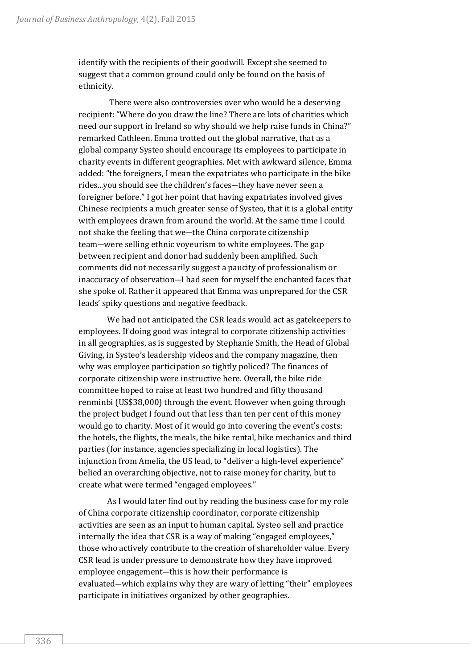identify with the recipients of their goodwill. Except she seemed to suggest that a common ground could only be found on the basis of ethnicity.

There were also controversies over who would be a deserving recipient: "Where do you draw the line? There are lots of charities which need our support in Ireland so why should we help raise funds in China?" remarked Cathleen. Emma trotted out the global narrative, that as a global company Systeo should encourage its employees to participate in charity events in different geographies. Met with awkward silence, Emma added: "the foreigners, I mean the expatriates who participate in the bike rides...you should see the children's faces―they have never seen a foreigner before." I got her point that having expatriates involved gives Chinese recipients a much greater sense of Systeo, that it is a global entity with employees drawn from around the world. At the same time I could not shake the feeling that we―the China corporate citizenship team―were selling ethnic voyeurism to white employees. The gap between recipient and donor had suddenly been amplified. Such comments did not necessarily suggest a paucity of professionalism or inaccuracy of observation―I had seen for myself the enchanted faces that she spoke of. Rather it appeared that Emma was unprepared for the CSR leads' spiky questions and negative feedback.

We had not anticipated the CSR leads would act as gatekeepers to employees. If doing good was integral to corporate citizenship activities in all geographies, as is suggested by Stephanie Smith, the Head of Global Giving, in Systeo's leadership videos and the company magazine, then why was employee participation so tightly policed? The finances of corporate citizenship were instructive here. Overall, the bike ride committee hoped to raise at least two hundred and fifty thousand renminbi (US\$38,000) through the event. However when going through the project budget I found out that less than ten per cent of this money would go to charity. Most of it would go into covering the event's costs: the hotels, the flights, the meals, the bike rental, bike mechanics and third parties (for instance, agencies specializing in local logistics). The injunction from Amelia, the US lead, to "deliver a high-level experience" belied an overarching objective, not to raise money for charity, but to create what were termed "engaged employees."

As I would later find out by reading the business case for my role of China corporate citizenship coordinator, corporate citizenship activities are seen as an input to human capital. Systeo sell and practice internally the idea that CSR is a way of making "engaged employees," those who actively contribute to the creation of shareholder value. Every CSR lead is under pressure to demonstrate how they have improved employee engagement―this is how their performance is evaluated―which explains why they are wary of letting "their" employees participate in initiatives organized by other geographies.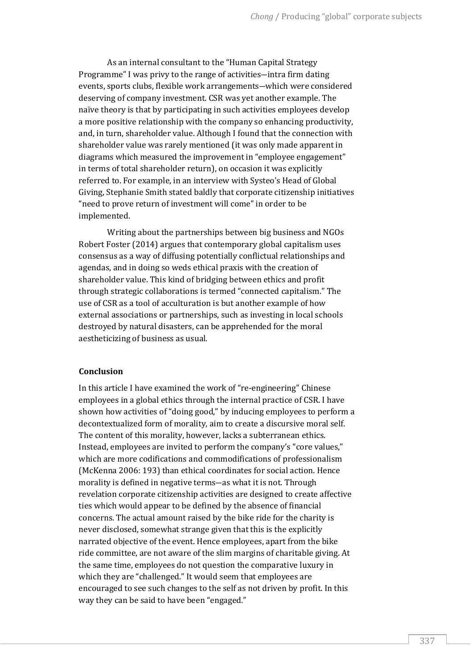As an internal consultant to the "Human Capital Strategy Programme" I was privy to the range of activities―intra firm dating events, sports clubs, flexible work arrangements―which were considered deserving of company investment. CSR was yet another example. The naïve theory is that by participating in such activities employees develop a more positive relationship with the company so enhancing productivity, and, in turn, shareholder value. Although I found that the connection with shareholder value was rarely mentioned (it was only made apparent in diagrams which measured the improvement in "employee engagement" in terms of total shareholder return), on occasion it was explicitly referred to. For example, in an interview with Systeo's Head of Global Giving, Stephanie Smith stated baldly that corporate citizenship initiatives "need to prove return of investment will come" in order to be implemented.

Writing about the partnerships between big business and NGOs Robert Foster (2014) argues that contemporary global capitalism uses consensus as a way of diffusing potentially conflictual relationships and agendas, and in doing so weds ethical praxis with the creation of shareholder value. This kind of bridging between ethics and profit through strategic collaborations is termed "connected capitalism." The use of CSR as a tool of acculturation is but another example of how external associations or partnerships, such as investing in local schools destroyed by natural disasters, can be apprehended for the moral aestheticizing of business as usual.

#### **Conclusion**

In this article I have examined the work of "re-engineering" Chinese employees in a global ethics through the internal practice of CSR. I have shown how activities of "doing good," by inducing employees to perform a decontextualized form of morality, aim to create a discursive moral self. The content of this morality, however, lacks a subterranean ethics. Instead, employees are invited to perform the company's "core values," which are more codifications and commodifications of professionalism (McKenna 2006: 193) than ethical coordinates for social action. Hence morality is defined in negative terms―as what it is not. Through revelation corporate citizenship activities are designed to create affective ties which would appear to be defined by the absence of financial concerns. The actual amount raised by the bike ride for the charity is never disclosed, somewhat strange given that this is the explicitly narrated objective of the event. Hence employees, apart from the bike ride committee, are not aware of the slim margins of charitable giving. At the same time, employees do not question the comparative luxury in which they are "challenged." It would seem that employees are encouraged to see such changes to the self as not driven by profit. In this way they can be said to have been "engaged."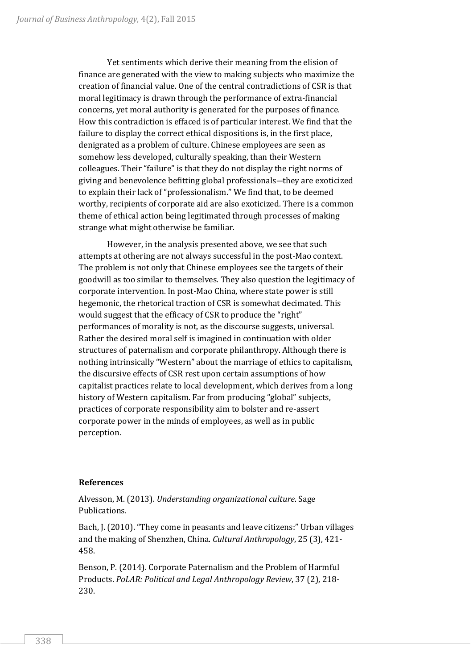Yet sentiments which derive their meaning from the elision of finance are generated with the view to making subjects who maximize the creation of financial value. One of the central contradictions of CSR is that moral legitimacy is drawn through the performance of extra-financial concerns, yet moral authority is generated for the purposes of finance. How this contradiction is effaced is of particular interest. We find that the failure to display the correct ethical dispositions is, in the first place, denigrated as a problem of culture. Chinese employees are seen as somehow less developed, culturally speaking, than their Western colleagues. Their "failure" is that they do not display the right norms of giving and benevolence befitting global professionals―they are exoticized to explain their lack of "professionalism." We find that, to be deemed worthy, recipients of corporate aid are also exoticized. There is a common theme of ethical action being legitimated through processes of making strange what might otherwise be familiar.

However, in the analysis presented above, we see that such attempts at othering are not always successful in the post-Mao context. The problem is not only that Chinese employees see the targets of their goodwill as too similar to themselves. They also question the legitimacy of corporate intervention. In post-Mao China, where state power is still hegemonic, the rhetorical traction of CSR is somewhat decimated. This would suggest that the efficacy of CSR to produce the "right" performances of morality is not, as the discourse suggests, universal. Rather the desired moral self is imagined in continuation with older structures of paternalism and corporate philanthropy. Although there is nothing intrinsically "Western" about the marriage of ethics to capitalism, the discursive effects of CSR rest upon certain assumptions of how capitalist practices relate to local development, which derives from a long history of Western capitalism. Far from producing "global" subjects, practices of corporate responsibility aim to bolster and re-assert corporate power in the minds of employees, as well as in public perception.

# **References**

Alvesson, M. (2013). *Understanding organizational culture*. Sage Publications.

Bach, J. (2010). "They come in peasants and leave citizens:" Urban villages and the making of Shenzhen, China. *Cultural Anthropology*, 25 (3), 421- 458.

Benson, P. (2014). Corporate Paternalism and the Problem of Harmful Products. *PoLAR: Political and Legal Anthropology Review*, 37 (2), 218- 230.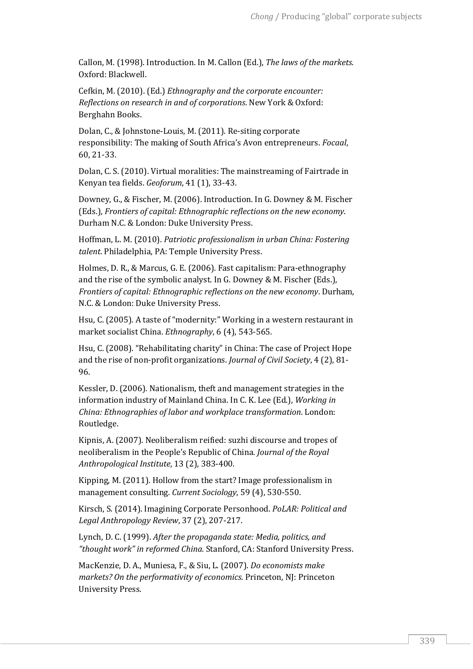Callon, M. (1998). Introduction. In M. Callon (Ed.), *The laws of the markets*. Oxford: Blackwell.

Cefkin, M. (2010). (Ed.) *Ethnography and the corporate encounter: Reflections on research in and of corporations*. New York & Oxford: Berghahn Books.

Dolan, C., & Johnstone-Louis, M. (2011). Re-siting corporate responsibility: The making of South Africa's Avon entrepreneurs. *Focaal*, 60, 21-33.

Dolan, C. S. (2010). Virtual moralities: The mainstreaming of Fairtrade in Kenyan tea fields. *Geoforum*, 41 (1), 33-43.

Downey, G., & Fischer, M. (2006). Introduction. In G. Downey & M. Fischer (Eds.), *Frontiers of capital: Ethnographic reflections on the new economy*. Durham N.C. & London: Duke University Press.

Hoffman, L. M. (2010). *Patriotic professionalism in urban China: Fostering talent*. Philadelphia, PA: Temple University Press.

Holmes, D. R., & Marcus, G. E. (2006). Fast capitalism: Para-ethnography and the rise of the symbolic analyst. In G. Downey & M. Fischer (Eds.), *Frontiers of capital: Ethnographic reflections on the new economy*. Durham, N.C. & London: Duke University Press.

Hsu, C. (2005). A taste of "modernity:" Working in a western restaurant in market socialist China. *Ethnography*, 6 (4), 543-565.

Hsu, C. (2008). "Rehabilitating charity" in China: The case of Project Hope and the rise of non-profit organizations. *Journal of Civil Society*, 4 (2), 81- 96.

Kessler, D. (2006). Nationalism, theft and management strategies in the information industry of Mainland China. In C. K. Lee (Ed.), *Working in China: Ethnographies of labor and workplace transformation*. London: Routledge.

Kipnis, A. (2007). Neoliberalism reified: suzhi discourse and tropes of neoliberalism in the People's Republic of China. *Journal of the Royal Anthropological Institute*, 13 (2), 383-400.

Kipping, M. (2011). Hollow from the start? Image professionalism in management consulting. *Current Sociology*, 59 (4), 530-550.

Kirsch, S. (2014). Imagining Corporate Personhood. *PoLAR: Political and Legal Anthropology Review*, 37 (2), 207-217.

Lynch, D. C. (1999). *After the propaganda state: Media, politics, and "thought work" in reformed China.* Stanford, CA: Stanford University Press.

MacKenzie, D. A., Muniesa, F., & Siu, L. (2007). *Do economists make markets? On the performativity of economics*. Princeton, NJ: Princeton University Press.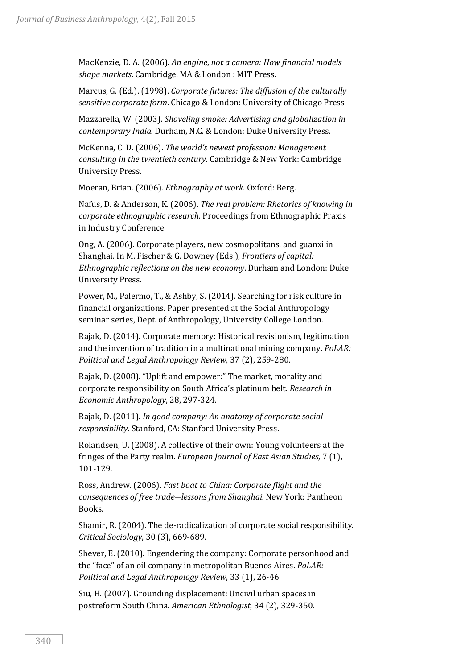MacKenzie, D. A. (2006). *An engine, not a camera: How financial models shape markets*. Cambridge, MA & London : MIT Press.

Marcus, G. (Ed.). (1998). *Corporate futures: The diffusion of the culturally sensitive corporate form*. Chicago & London: University of Chicago Press.

Mazzarella, W. (2003). *Shoveling smoke: Advertising and globalization in contemporary India.* Durham, N.C. & London: Duke University Press.

McKenna, C. D. (2006). *The world's newest profession: Management consulting in the twentieth century*. Cambridge & New York: Cambridge University Press.

Moeran, Brian. (2006). *Ethnography at work*. Oxford: Berg.

Nafus, D. & Anderson, K. (2006). *The real problem: Rhetorics of knowing in corporate ethnographic research*. Proceedings from Ethnographic Praxis in Industry Conference.

Ong, A. (2006). Corporate players, new cosmopolitans, and guanxi in Shanghai. In M. Fischer & G. Downey (Eds.), *Frontiers of capital: Ethnographic reflections on the new economy*. Durham and London: Duke University Press.

Power, M., Palermo, T., & Ashby, S. (2014). Searching for risk culture in financial organizations. Paper presented at the Social Anthropology seminar series, Dept. of Anthropology, University College London.

Rajak, D. (2014). Corporate memory: Historical revisionism, legitimation and the invention of tradition in a multinational mining company. *PoLAR: Political and Legal Anthropology Review*, 37 (2), 259-280.

Rajak, D. (2008). "Uplift and empower:" The market, morality and corporate responsibility on South Africa's platinum belt. *Research in Economic Anthropology*, 28, 297-324.

Rajak, D. (2011). *In good company: An anatomy of corporate social responsibility*. Stanford, CA: Stanford University Press.

Rolandsen, U. (2008). A collective of their own: Young volunteers at the fringes of the Party realm. *European Journal of East Asian Studies,* 7 (1), 101-129.

Ross, Andrew. (2006). *Fast boat to China: Corporate flight and the consequences of free trade―lessons from Shanghai.* New York: Pantheon Books.

Shamir, R. (2004). The de-radicalization of corporate social responsibility. *Critical Sociology*, 30 (3), 669-689.

Shever, E. (2010). Engendering the company: Corporate personhood and the "face" of an oil company in metropolitan Buenos Aires. *PoLAR: Political and Legal Anthropology Review*, 33 (1), 26-46.

Siu, H. (2007). Grounding displacement: Uncivil urban spaces in postreform South China. *American Ethnologist*, 34 (2), 329-350.